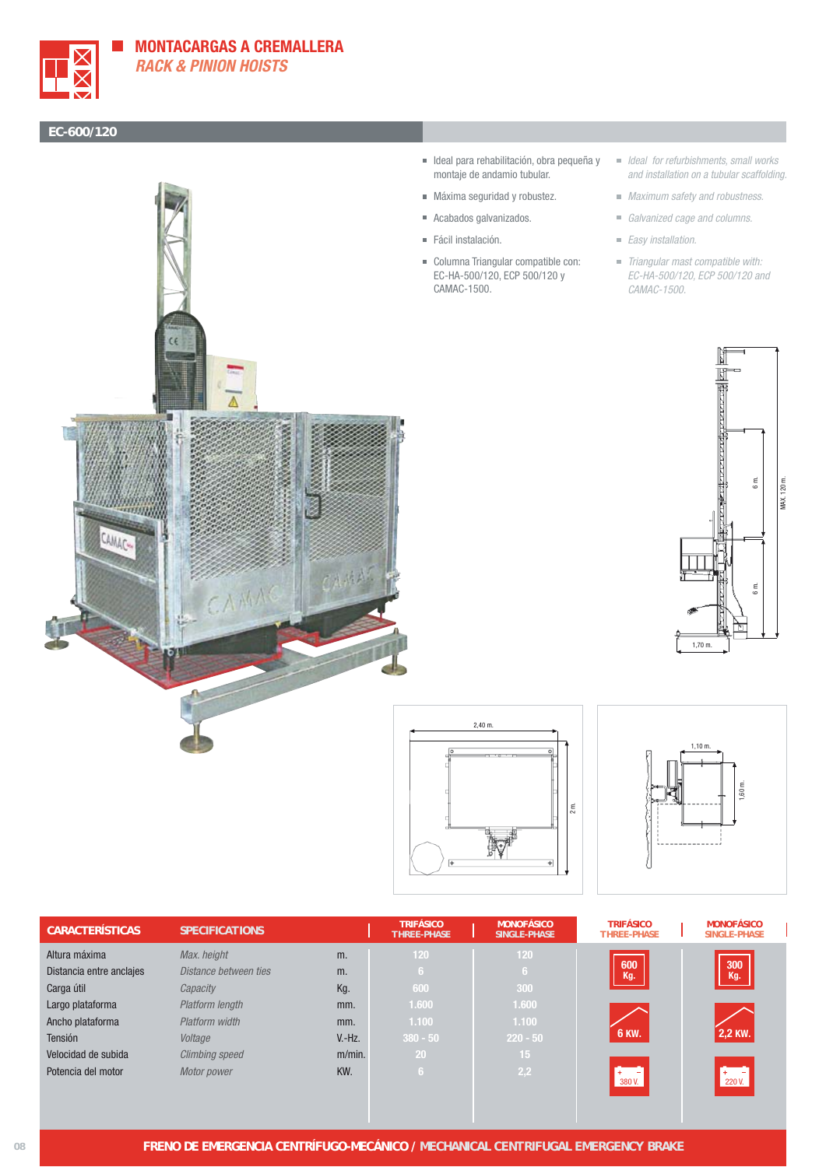

## **MONTACARGAS A CREMALLERA RACK & PINION HOISTS**

## **EC-600/120**



- Ideal para rehabilitación, obra pequeña y montaje de andamio tubular.
- Máxima seguridad y robustez.
- Acabados galvanizados.
- Fácil instalación.
- Columna Triangular compatible con: EC-HA-500/120, ECP 500/120 y CAMAC-1500.
- $\blacksquare$  Ideal for refurbishments, small works and installation on a tubular scaffolding.
- **Maximum safety and robustness.**
- Galvanized cage and columns.
- Easy installation.
- Triangular mast compatible with: EC-HA-500/120, ECP 500/120 and CAMAC-1500.







| <b>MONOFÁSICO</b><br><b>SINGLE-PHASE</b> |
|------------------------------------------|
|                                          |
| 300<br>Kg.                               |
|                                          |
|                                          |
|                                          |
| 2,2 KW.                                  |
|                                          |
| $+ - -$<br>220 V.                        |
|                                          |
|                                          |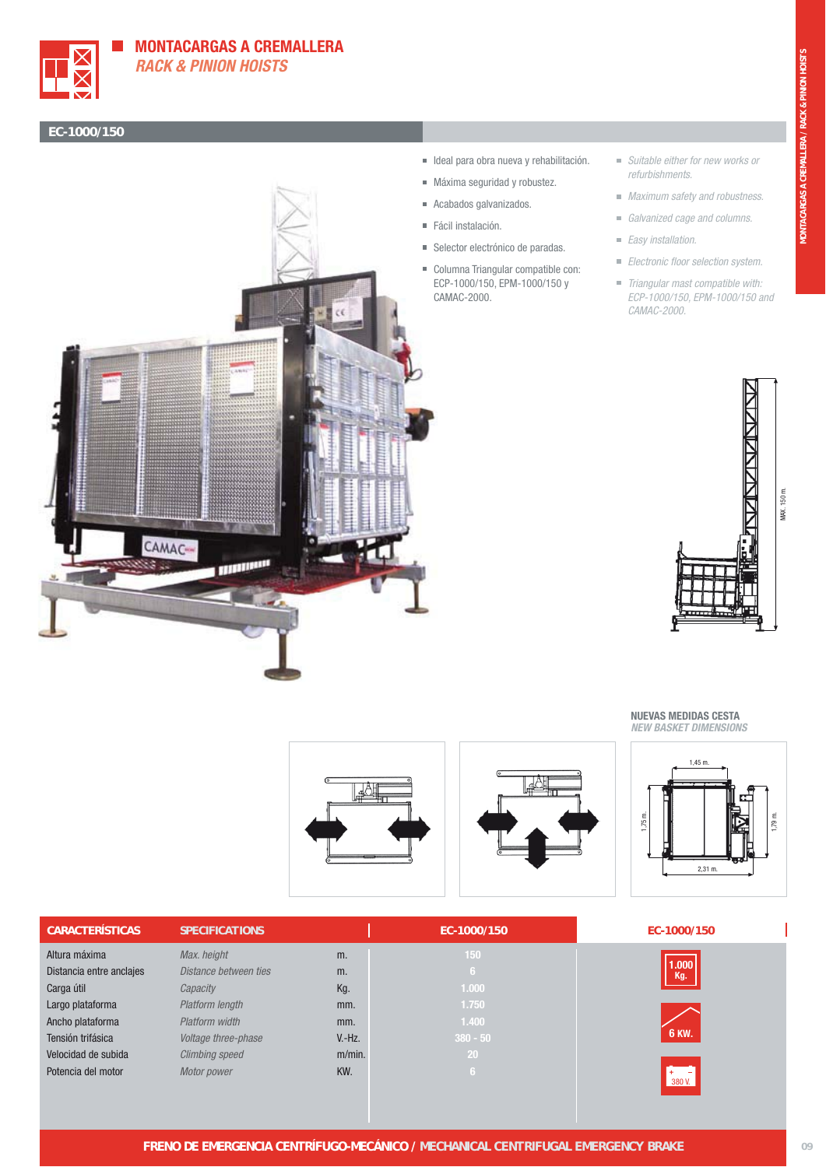





- $\blacksquare$  Ideal para obra nueva y rehabilitación.
- Máxima seguridad y robustez.
- Acabados galvanizados.
- Fácil instalación.
- Selector electrónico de paradas.
- Columna Triangular compatible con: ECP-1000/150, EPM-1000/150 y CAMAC-2000.
- Suitable either for new works or refurbishments.
- **Maximum safety and robustness.**
- Galvanized cage and columns.
- Easy installation.
- **Electronic floor selection system.**
- Triangular mast compatible with: ECP-1000/150, EPM-1000/150 and CAMAC-2000.



**NUEVAS MEDIDAS CESTA NEW BASKET DIMENSIONS**



| <b>CARACTERÍSTICAS</b>   | <b>SPECIFICATIONS</b> |           | EC-1000/150 | EC-1000/150  |
|--------------------------|-----------------------|-----------|-------------|--------------|
| Altura máxima            | Max. height           | m.        | 150         |              |
| Distancia entre anclajes | Distance between ties | m.        | 167         | 1.000<br>Kg. |
| Carga útil               | Capacity              | Kg.       | 1.000       |              |
| Largo plataforma         | Platform length       | mm.       | 1.750       |              |
| Ancho plataforma         | Platform width        | mm.       | 1.400       |              |
| Tensión trifásica        | Voltage three-phase   | $V.-Hz.$  | $380 - 50$  | <b>6 KW.</b> |
| Velocidad de subida      | <b>Climbing speed</b> | $m/min$ . | 20          |              |
| Potencia del motor       | Motor power           | KW.       | 6           | 380 V.       |